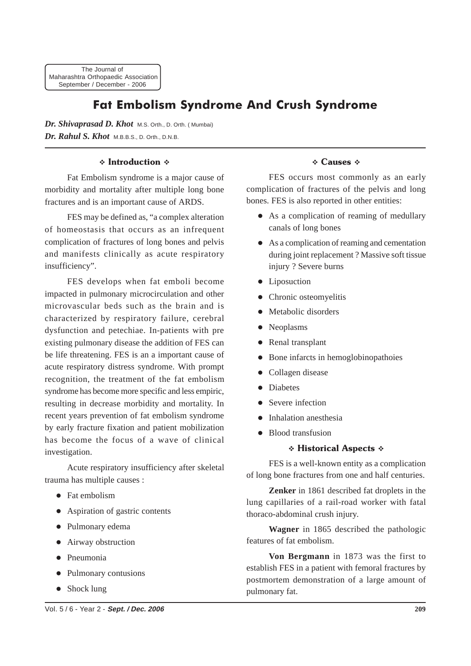The Journal of Maharashtra Orthopaedic Association September / December - 2006

# Fat Embolism Syndrome And Crush Syndrome

Dr. Shivaprasad D. Khot M.S. Orth., D. Orth. (Mumbai) *Dr. Rahul S. Khot* M.B.B.S., D. Orth., D.N.B.

#### **∻ Introduction ↓**

Fat Embolism syndrome is a major cause of morbidity and mortality after multiple long bone fractures and is an important cause of ARDS.

FES may be defined as, "a complex alteration of homeostasis that occurs as an infrequent complication of fractures of long bones and pelvis and manifests clinically as acute respiratory insufficiency".

FES develops when fat emboli become impacted in pulmonary microcirculation and other microvascular beds such as the brain and is characterized by respiratory failure, cerebral dysfunction and petechiae. In-patients with pre existing pulmonary disease the addition of FES can be life threatening. FES is an a important cause of acute respiratory distress syndrome. With prompt recognition, the treatment of the fat embolism syndrome has become more specific and less empiric, resulting in decrease morbidity and mortality. In recent years prevention of fat embolism syndrome by early fracture fixation and patient mobilization has become the focus of a wave of clinical investigation.

Acute respiratory insufficiency after skeletal trauma has multiple causes :

- Fat embolism
- Aspiration of gastric contents
- Pulmonary edema
- Airway obstruction
- Pneumonia
- Pulmonary contusions
- Shock lung

### † Causes †

FES occurs most commonly as an early complication of fractures of the pelvis and long bones. FES is also reported in other entities:

- As a complication of reaming of medullary canals of long bones
- As a complication of reaming and cementation during joint replacement ? Massive soft tissue injury ? Severe burns
- Liposuction
- Chronic osteomyelitis
- Metabolic disorders
- Neoplasms
- Renal transplant
- Bone infarcts in hemoglobinopathoies
- Collagen disease
- **Diabetes**
- Severe infection
- Inhalation anesthesia
- Blood transfusion

#### ∻ Historical Aspects ↔

FES is a well-known entity as a complication of long bone fractures from one and half centuries.

**Zenker** in 1861 described fat droplets in the lung capillaries of a rail-road worker with fatal thoraco-abdominal crush injury.

**Wagner** in 1865 described the pathologic features of fat embolism.

**Von Bergmann** in 1873 was the first to establish FES in a patient with femoral fractures by postmortem demonstration of a large amount of pulmonary fat.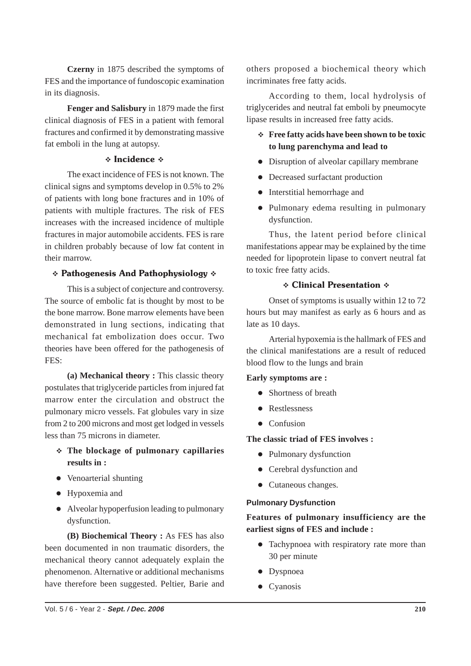**Czerny** in 1875 described the symptoms of FES and the importance of fundoscopic examination in its diagnosis.

**Fenger and Salisbury** in 1879 made the first clinical diagnosis of FES in a patient with femoral fractures and confirmed it by demonstrating massive fat emboli in the lung at autopsy.

#### **†** Incidence †

The exact incidence of FES is not known. The clinical signs and symptoms develop in 0.5% to 2% of patients with long bone fractures and in 10% of patients with multiple fractures. The risk of FES increases with the increased incidence of multiple fractures in major automobile accidents. FES is rare in children probably because of low fat content in their marrow.

### \* Pathogenesis And Pathophysiology \*

This is a subject of conjecture and controversy. The source of embolic fat is thought by most to be the bone marrow. Bone marrow elements have been demonstrated in lung sections, indicating that mechanical fat embolization does occur. Two theories have been offered for the pathogenesis of FES:

**(a) Mechanical theory :** This classic theory postulates that triglyceride particles from injured fat marrow enter the circulation and obstruct the pulmonary micro vessels. Fat globules vary in size from 2 to 200 microns and most get lodged in vessels less than 75 microns in diameter.

- **The blockage of pulmonary capillaries results in :**
- Venoarterial shunting
- Hypoxemia and
- Alveolar hypoperfusion leading to pulmonary dysfunction.

**(B) Biochemical Theory :** As FES has also been documented in non traumatic disorders, the mechanical theory cannot adequately explain the phenomenon. Alternative or additional mechanisms have therefore been suggested. Peltier, Barie and others proposed a biochemical theory which incriminates free fatty acids.

According to them, local hydrolysis of triglycerides and neutral fat emboli by pneumocyte lipase results in increased free fatty acids.

- **Free fatty acids have been shown to be toxic to lung parenchyma and lead to**
- Disruption of alveolar capillary membrane
- Decreased surfactant production
- Interstitial hemorrhage and
- Pulmonary edema resulting in pulmonary dysfunction.

Thus, the latent period before clinical manifestations appear may be explained by the time needed for lipoprotein lipase to convert neutral fat to toxic free fatty acids.

#### ❖ Clinical Presentation ❖

Onset of symptoms is usually within 12 to 72 hours but may manifest as early as 6 hours and as late as 10 days.

Arterial hypoxemia is the hallmark of FES and the clinical manifestations are a result of reduced blood flow to the lungs and brain

#### **Early symptoms are :**

- Shortness of breath
- Restlessness
- Confusion

#### **The classic triad of FES involves :**

- Pulmonary dysfunction
- Cerebral dysfunction and
- Cutaneous changes.

#### **Pulmonary Dysfunction**

### **Features of pulmonary insufficiency are the earliest signs of FES and include :**

- Tachypnoea with respiratory rate more than 30 per minute
- Dyspnoea
- Cyanosis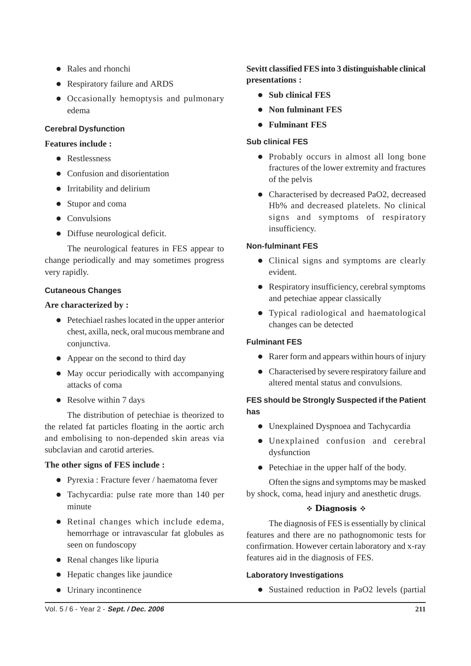- Rales and rhonchi
- Respiratory failure and ARDS
- Occasionally hemoptysis and pulmonary edema

### **Cerebral Dysfunction**

### **Features include :**

- **Restlessness**
- Confusion and disorientation
- Irritability and delirium
- Stupor and coma
- Convulsions
- Diffuse neurological deficit.

The neurological features in FES appear to change periodically and may sometimes progress very rapidly.

# **Cutaneous Changes**

# **Are characterized by :**

- Petechiael rashes located in the upper anterior chest, axilla, neck, oral mucous membrane and conjunctiva.
- Appear on the second to third day
- May occur periodically with accompanying attacks of coma
- Resolve within 7 days

The distribution of petechiae is theorized to the related fat particles floating in the aortic arch and embolising to non-depended skin areas via subclavian and carotid arteries.

# **The other signs of FES include :**

- Pyrexia : Fracture fever / haematoma fever
- Tachycardia: pulse rate more than 140 per minute
- Retinal changes which include edema, hemorrhage or intravascular fat globules as seen on fundoscopy
- $\bullet$  Renal changes like lipuria
- Hepatic changes like jaundice
- Urinary incontinence

# **Sevitt classified FES into 3 distinguishable clinical presentations :**

- **Sub clinical FES**
- **Non fulminant FES**
- **Fulminant FES**

# **Sub clinical FES**

- Probably occurs in almost all long bone fractures of the lower extremity and fractures of the pelvis
- Characterised by decreased PaO2, decreased Hb% and decreased platelets. No clinical signs and symptoms of respiratory insufficiency.

# **Non-fulminant FES**

- Clinical signs and symptoms are clearly evident.
- Respiratory insufficiency, cerebral symptoms and petechiae appear classically
- Typical radiological and haematological changes can be detected

# **Fulminant FES**

- Rarer form and appears within hours of injury
- Characterised by severe respiratory failure and altered mental status and convulsions.

# **FES should be Strongly Suspected if the Patient has**

- Unexplained Dyspnoea and Tachycardia
- Unexplained confusion and cerebral dysfunction
- Petechiae in the upper half of the body.

Often the signs and symptoms may be masked by shock, coma, head injury and anesthetic drugs.

# **᠅ Diagnosis ☆**

The diagnosis of FES is essentially by clinical features and there are no pathognomonic tests for confirmation. However certain laboratory and x-ray features aid in the diagnosis of FES.

# **Laboratory Investigations**

• Sustained reduction in PaO2 levels (partial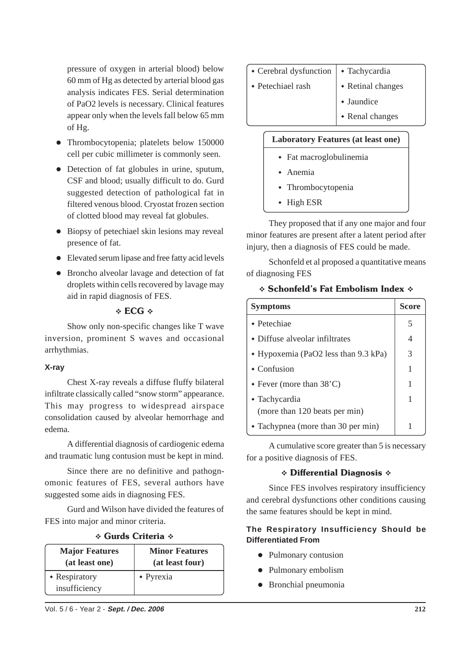pressure of oxygen in arterial blood) below 60 mm of Hg as detected by arterial blood gas analysis indicates FES. Serial determination of PaO2 levels is necessary. Clinical features appear only when the levels fall below 65 mm of Hg.

- Thrombocytopenia; platelets below 150000 cell per cubic millimeter is commonly seen.
- Detection of fat globules in urine, sputum, CSF and blood; usually difficult to do. Gurd suggested detection of pathological fat in filtered venous blood. Cryostat frozen section of clotted blood may reveal fat globules.
- Biopsy of petechiael skin lesions may reveal presence of fat.
- Elevated serum lipase and free fatty acid levels
- Broncho alveolar lavage and detection of fat droplets within cells recovered by lavage may aid in rapid diagnosis of FES.

# $\div$  ECG  $\div$

Show only non-specific changes like T wave inversion, prominent S waves and occasional arrhythmias.

# **X-ray**

Chest X-ray reveals a diffuse fluffy bilateral infiltrate classically called "snow storm" appearance. This may progress to widespread airspace consolidation caused by alveolar hemorrhage and edema.

A differential diagnosis of cardiogenic edema and traumatic lung contusion must be kept in mind.

Since there are no definitive and pathognomonic features of FES, several authors have suggested some aids in diagnosing FES.

Gurd and Wilson have divided the features of FES into major and minor criteria.

| <b>Major Features</b><br>(at least one) | <b>Minor Features</b><br>(at least four) |  |
|-----------------------------------------|------------------------------------------|--|
| • Respiratory<br>insufficiency          | $\bullet$ Pyrexia                        |  |

# \* Gurds Criteria \*

- $\cdot$  Cerebral dysfunction  $\cdot$  Tachycardia
- $\cdot$  Petechiael rash  $\cdot$  Retinal changes
	- Jaundice
	- Renal changes

# **Laboratory Features (at least one)**

- Fat macroglobulinemia
- Anemia
- Thrombocytopenia
- $\cdot$  High ESR

They proposed that if any one major and four minor features are present after a latent period after injury, then a diagnosis of FES could be made.

Schonfeld et al proposed a quantitative means of diagnosing FES

# \* Schonfeld's Fat Embolism Index \*

| <b>Symptoms</b>                        | <b>Score</b> |
|----------------------------------------|--------------|
| $\bullet$ Petechiae                    | 5            |
| $\bullet$ Diffuse alveolar infiltrates | 4            |
| • Hypoxemia (PaO2 less than 9.3 kPa)   | 3            |
| $\triangle$ Confusion                  | 1            |
| $\bullet$ Fever (more than 38'C)       | 1            |
| • Tachycardia                          | 1            |
| (more than 120 beats per min)          |              |
| • Tachypnea (more than 30 per min)     |              |

A cumulative score greater than 5 is necessary for a positive diagnosis of FES.

# \* Differential Diagnosis \*

Since FES involves respiratory insufficiency and cerebral dysfunctions other conditions causing the same features should be kept in mind.

### **The Respiratory Insufficiency Should be Differentiated From**

- Pulmonary contusion
- Pulmonary embolism
- Bronchial pneumonia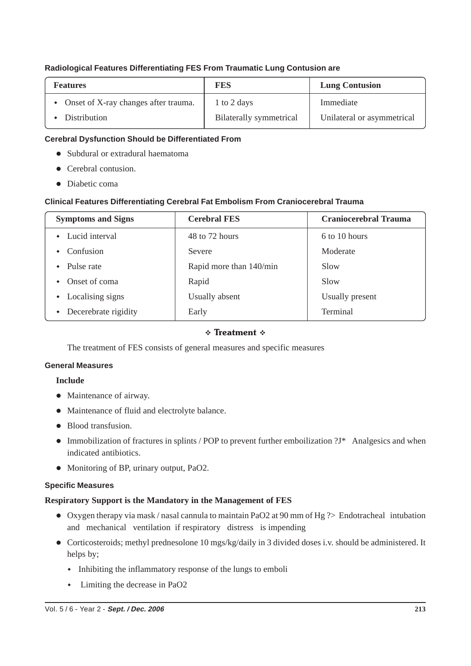### **Radiological Features Differentiating FES From Traumatic Lung Contusion are**

| <b>Features</b>                        | FES                            | <b>Lung Contusion</b>      |
|----------------------------------------|--------------------------------|----------------------------|
| • Onset of X-ray changes after trauma. | 1 to 2 days                    | Immediate                  |
| Distribution                           | <b>Bilaterally</b> symmetrical | Unilateral or asymmetrical |

### **Cerebral Dysfunction Should be Differentiated From**

- Subdural or extradural haematoma
- Cerebral contusion.
- Diabetic coma

### **Clinical Features Differentiating Cerebral Fat Embolism From Craniocerebral Trauma**

| <b>Symptoms and Signs</b> | <b>Cerebral FES</b>     | <b>Craniocerebral Trauma</b> |
|---------------------------|-------------------------|------------------------------|
| Lucid interval            | 48 to 72 hours          | 6 to 10 hours                |
| Confusion                 | Severe                  | Moderate                     |
| Pulse rate                | Rapid more than 140/min | Slow                         |
| Onset of coma             | Rapid                   | Slow                         |
| Localising signs          | Usually absent          | Usually present              |
| Decerebrate rigidity      | Early                   | Terminal                     |

### **†** Treatment †

The treatment of FES consists of general measures and specific measures

### **General Measures**

### **Include**

- Maintenance of airway.
- Maintenance of fluid and electrolyte balance.
- Blood transfusion.
- Immobilization of fractures in splints / POP to prevent further emboilization  $1^*$  Analgesics and when indicated antibiotics.
- Monitoring of BP, urinary output, PaO2.

### **Specific Measures**

### **Respiratory Support is the Mandatory in the Management of FES**

- Oxygen therapy via mask / nasal cannula to maintain PaO2 at 90 mm of Hg ?> Endotracheal intubation and mechanical ventilation if respiratory distress is impending
- Corticosteroids; methyl prednesolone 10 mgs/kg/daily in 3 divided doses i.v. should be administered. It helps by;
	- Inhibiting the inflammatory response of the lungs to emboli
	- Limiting the decrease in PaO2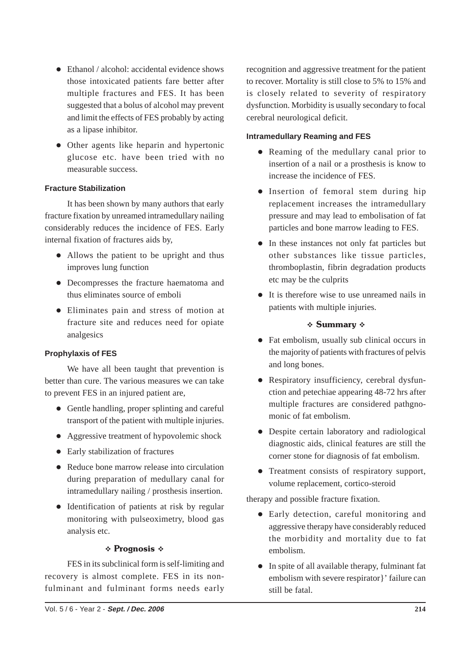- Ethanol / alcohol: accidental evidence shows those intoxicated patients fare better after multiple fractures and FES. It has been suggested that a bolus of alcohol may prevent and limit the effects of FES probably by acting as a lipase inhibitor.
- Other agents like heparin and hypertonic glucose etc. have been tried with no measurable success.

### **Fracture Stabilization**

It has been shown by many authors that early fracture fixation by unreamed intramedullary nailing considerably reduces the incidence of FES. Early internal fixation of fractures aids by,

- Allows the patient to be upright and thus improves lung function
- Decompresses the fracture haematoma and thus eliminates source of emboli
- Eliminates pain and stress of motion at fracture site and reduces need for opiate analgesics

### **Prophylaxis of FES**

We have all been taught that prevention is better than cure. The various measures we can take to prevent FES in an injured patient are,

- Gentle handling, proper splinting and careful transport of the patient with multiple injuries.
- Aggressive treatment of hypovolemic shock
- Early stabilization of fractures
- Reduce bone marrow release into circulation during preparation of medullary canal for intramedullary nailing / prosthesis insertion.
- Identification of patients at risk by regular monitoring with pulseoximetry, blood gas analysis etc.

#### \* Prognosis \*

FES in its subclinical form is self-limiting and recovery is almost complete. FES in its nonfulminant and fulminant forms needs early recognition and aggressive treatment for the patient to recover. Mortality is still close to 5% to 15% and is closely related to severity of respiratory dysfunction. Morbidity is usually secondary to focal cerebral neurological deficit.

### **Intramedullary Reaming and FES**

- Reaming of the medullary canal prior to insertion of a nail or a prosthesis is know to increase the incidence of FES.
- Insertion of femoral stem during hip replacement increases the intramedullary pressure and may lead to embolisation of fat particles and bone marrow leading to FES.
- In these instances not only fat particles but other substances like tissue particles, thromboplastin, fibrin degradation products etc may be the culprits
- It is therefore wise to use unreamed nails in patients with multiple injuries.

### **∻ Summary ∻**

- Fat embolism, usually sub clinical occurs in the majority of patients with fractures of pelvis and long bones.
- Respiratory insufficiency, cerebral dysfunction and petechiae appearing 48-72 hrs after multiple fractures are considered pathgnomonic of fat embolism.
- Despite certain laboratory and radiological diagnostic aids, clinical features are still the corner stone for diagnosis of fat embolism.
- Treatment consists of respiratory support, volume replacement, cortico-steroid

therapy and possible fracture fixation.

- Early detection, careful monitoring and aggressive therapy have considerably reduced the morbidity and mortality due to fat embolism.
- In spite of all available therapy, fulminant fat embolism with severe respirator}' failure can still be fatal.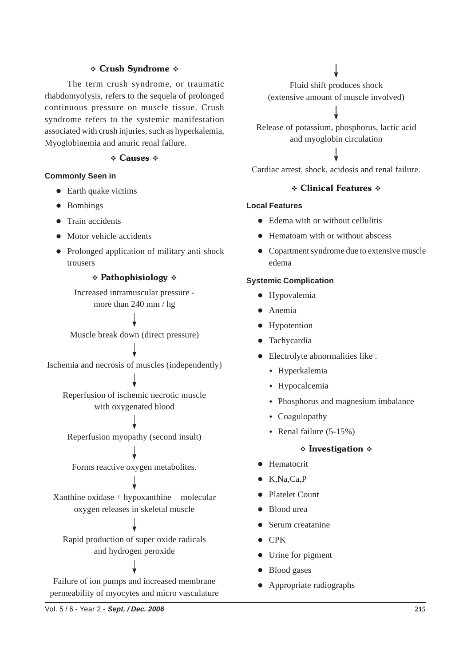### \* Crush Syndrome \*

The term crush syndrome, or traumatic rhabdomyolysis, refers to the sequela of prolonged continuous pressure on muscle tissue. Crush syndrome refers to the systemic manifestation associated with crush injuries, such as hyperkalemia, Myoglobinemia and anuric renal failure.

#### † Causes ∗

#### **Commonly Seen in**

- Earth quake victims
- Bombings
- Train accidents
- Motor vehicle accidents
- Prolonged application of military anti shock trousers

#### **\* Pathophisiology \***

Increased intramuscular pressure more than 240 mm / hg

Muscle break down (direct pressure)

Ischemia and necrosis of muscles (independently)

Reperfusion of ischemic necrotic muscle with oxygenated blood

Reperfusion myopathy (second insult)

Forms reactive oxygen metabolites.

Xanthine oxidase + hypoxanthine + molecular oxygen releases in skeletal muscle

Rapid production of super oxide radicals and hydrogen peroxide

Failure of ion pumps and increased membrane permeability of myocytes and micro vasculature

Fluid shift produces shock (extensive amount of muscle involved)

Release of potassium, phosphorus, lactic acid and myoglobin circulation

Cardiac arrest, shock, acidosis and renal failure.

#### ❖ Clinical Features ❖

### **Local Features**

- Edema with or without cellulitis
- Hematoam with or without abscess
- Copartment syndrome due to extensive muscle edema

#### **Systemic Complication**

- **•** Hypovalemia
- **•** Anemia
- Hypotention
- **·** Tachycardia
- Electrolyte abnormalities like .
	- Hyperkalemia
	- Hypocalcemia
	- Phosphorus and magnesium imbalance
	- Coagulopathy
	- Renal failure  $(5-15%)$

#### ∻ Investigation ↓

- **•** Hematocrit
- $\bullet$  K,Na,Ca,P
- Platelet Count
- Blood urea
- Serum creatanine
- $\bullet$  CPK
- Urine for pigment
- Blood gases
- Appropriate radiographs